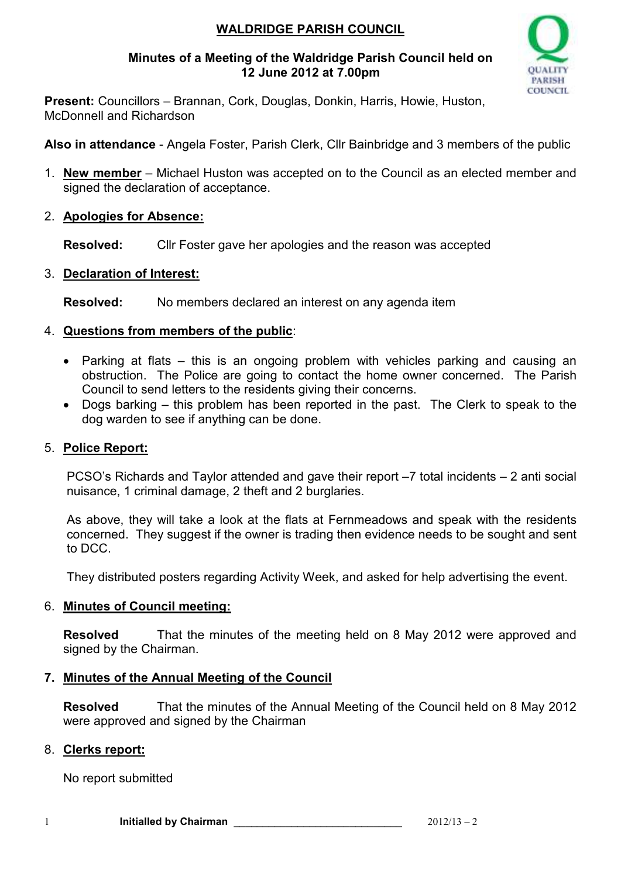# **WALDRIDGE PARISH COUNCIL**

### **Minutes of a Meeting of the Waldridge Parish Council held on 12 June 2012 at 7.00pm**



**Present:** Councillors – Brannan, Cork, Douglas, Donkin, Harris, Howie, Huston, McDonnell and Richardson

**Also in attendance** - Angela Foster, Parish Clerk, Cllr Bainbridge and 3 members of the public

- 1. **New member** Michael Huston was accepted on to the Council as an elected member and signed the declaration of acceptance.
- 2. **Apologies for Absence:**

**Resolved:** Cllr Foster gave her apologies and the reason was accepted

3. **Declaration of Interest:**

**Resolved:** No members declared an interest on any agenda item

# 4. **Questions from members of the public**:

- Parking at flats this is an ongoing problem with vehicles parking and causing an obstruction. The Police are going to contact the home owner concerned. The Parish Council to send letters to the residents giving their concerns.
- Dogs barking this problem has been reported in the past. The Clerk to speak to the dog warden to see if anything can be done.

# 5. **Police Report:**

PCSO's Richards and Taylor attended and gave their report –7 total incidents – 2 anti social nuisance, 1 criminal damage, 2 theft and 2 burglaries.

As above, they will take a look at the flats at Fernmeadows and speak with the residents concerned. They suggest if the owner is trading then evidence needs to be sought and sent to DCC.

They distributed posters regarding Activity Week, and asked for help advertising the event.

# 6. **Minutes of Council meeting:**

**Resolved** That the minutes of the meeting held on 8 May 2012 were approved and signed by the Chairman.

# **7. Minutes of the Annual Meeting of the Council**

**Resolved** That the minutes of the Annual Meeting of the Council held on 8 May 2012 were approved and signed by the Chairman

### 8. **Clerks report:**

No report submitted

1 **Initialled by Chairman 1** 2012/13 – 2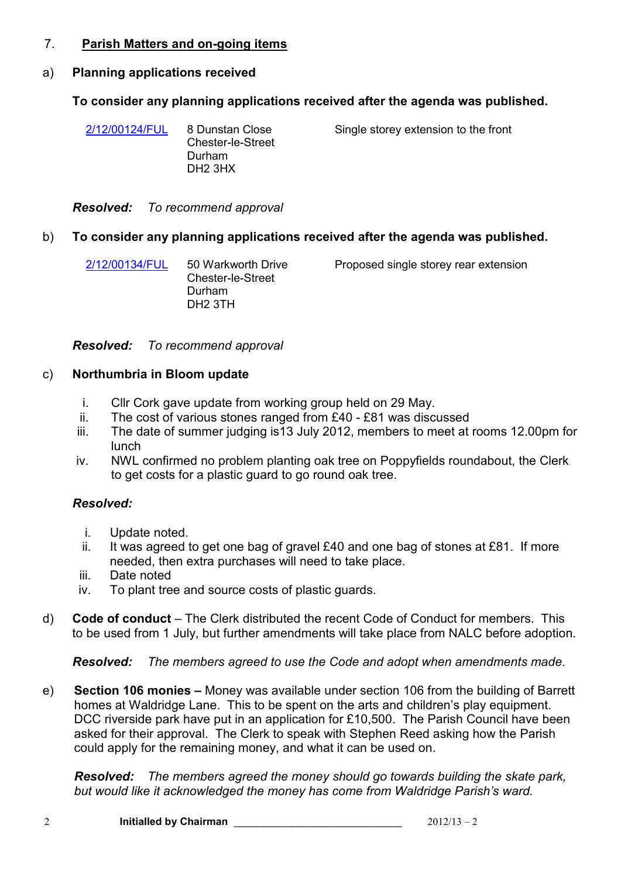### 7. **Parish Matters and on-going items**

#### a) **Planning applications received**

#### **To consider any planning applications received after the agenda was published.**

| 2/12/00124/FUL | 8 Dunstan Close<br><b>Chester-le-Street</b><br>Durham<br>DH <sub>2</sub> 3HX | Single storey extension to the front |
|----------------|------------------------------------------------------------------------------|--------------------------------------|
|                |                                                                              |                                      |

*Resolved: To recommend approval*

#### b) **To consider any planning applications received after the agenda was published.**

| 2/12/00134/FUL | 50 Warkworth Drive  | Proposed single storey rear extension |
|----------------|---------------------|---------------------------------------|
|                | Chester-le-Street   |                                       |
|                | Durham              |                                       |
|                | DH <sub>2</sub> 3TH |                                       |

*Resolved: To recommend approval*

#### c) **Northumbria in Bloom update**

- i. Cllr Cork gave update from working group held on 29 May.
- ii. The cost of various stones ranged from £40 £81 was discussed
- iii. The date of summer judging is13 July 2012, members to meet at rooms 12.00pm for lunch
- iv. NWL confirmed no problem planting oak tree on Poppyfields roundabout, the Clerk to get costs for a plastic guard to go round oak tree.

#### *Resolved:*

- i. Update noted.
- ii. It was agreed to get one bag of gravel  $£40$  and one bag of stones at £81. If more needed, then extra purchases will need to take place.
- iii. Date noted
- iv. To plant tree and source costs of plastic guards.
- d) **Code of conduct**The Clerk distributed the recent Code of Conduct for members. This to be used from 1 July, but further amendments will take place from NALC before adoption.

*Resolved: The members agreed to use the Code and adopt when amendments made.*

e) **Section 106 monies –** Money was available under section 106 from the building of Barrett homes at Waldridge Lane. This to be spent on the arts and children's play equipment. DCC riverside park have put in an application for £10,500. The Parish Council have been asked for their approval. The Clerk to speak with Stephen Reed asking how the Parish could apply for the remaining money, and what it can be used on.

*Resolved: The members agreed the money should go towards building the skate park, but would like it acknowledged the money has come from Waldridge Parish's ward.*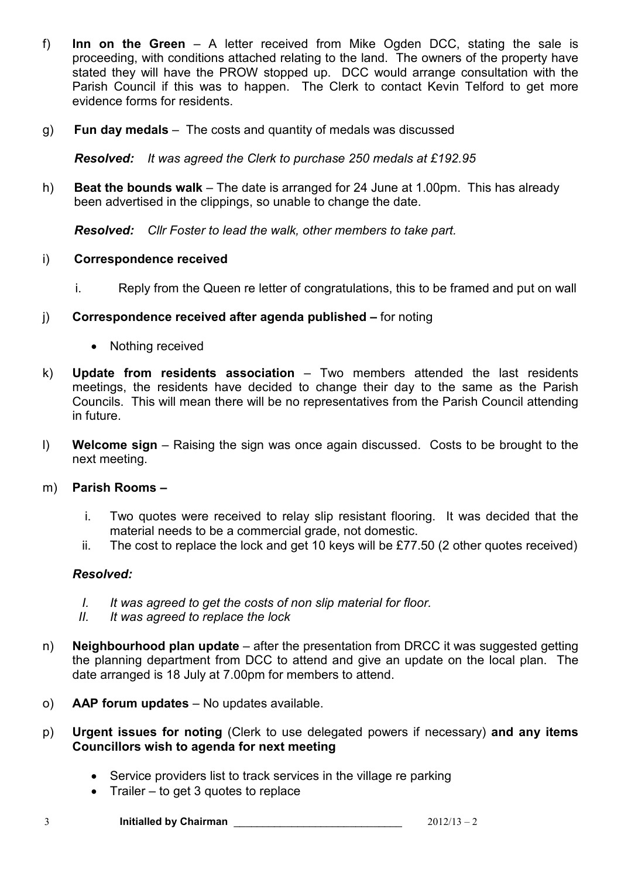- f) **Inn on the Green**  A letter received from Mike Ogden DCC, stating the sale is proceeding, with conditions attached relating to the land. The owners of the property have stated they will have the PROW stopped up. DCC would arrange consultation with the Parish Council if this was to happen. The Clerk to contact Kevin Telford to get more evidence forms for residents.
- g) **Fun day medals** –The costs and quantity of medals was discussed

*Resolved: It was agreed the Clerk to purchase 250 medals at £192.95* 

h) **Beat the bounds walk** – The date is arranged for 24 June at 1.00pm. This has already been advertised in the clippings, so unable to change the date.

*Resolved: Cllr Foster to lead the walk, other members to take part.* 

#### i) **Correspondence received**

- i. Reply from the Queen re letter of congratulations, this to be framed and put on wall
- j) **Correspondence received after agenda published –** for noting
	- Nothing received
- k) **Update from residents association**  Two members attended the last residents meetings, the residents have decided to change their day to the same as the Parish Councils. This will mean there will be no representatives from the Parish Council attending in future.
- l) **Welcome sign** Raising the sign was once again discussed. Costs to be brought to the next meeting.

#### m) **Parish Rooms –**

- i. Two quotes were received to relay slip resistant flooring. It was decided that the material needs to be a commercial grade, not domestic.
- ii. The cost to replace the lock and get 10 keys will be £77.50 (2 other quotes received)

### *Resolved:*

- *I. It was agreed to get the costs of non slip material for floor.*
- *II. It was agreed to replace the lock*
- n) **Neighbourhood plan update**  after the presentation from DRCC it was suggested getting the planning department from DCC to attend and give an update on the local plan. The date arranged is 18 July at 7.00pm for members to attend.
- o) **AAP forum updates**  No updates available.
- p) **Urgent issues for noting** (Clerk to use delegated powers if necessary) **and any items Councillors wish to agenda for next meeting** 
	- Service providers list to track services in the village re parking
	- Trailer to get 3 quotes to replace

3 **Initialled by Chairman** \_\_\_\_\_\_\_\_\_\_\_\_\_\_\_\_\_\_\_\_\_\_\_\_\_\_\_\_\_ 2012/13 – 2